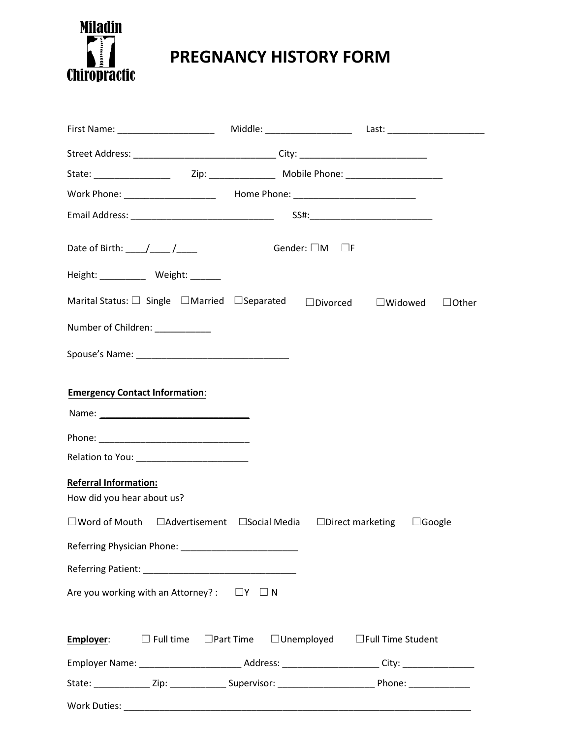

## **PREGNANCY HISTORY FORM**

| Street Address: _________________________________City: _________________________                          |                                 |                                            |  |
|-----------------------------------------------------------------------------------------------------------|---------------------------------|--------------------------------------------|--|
|                                                                                                           |                                 |                                            |  |
| Work Phone: _______________________  Home Phone: _______________________________                          |                                 |                                            |  |
|                                                                                                           |                                 |                                            |  |
|                                                                                                           | Gender: $\square$ M $\square$ F |                                            |  |
| Height: __________ Weight: ______                                                                         |                                 |                                            |  |
| Marital Status: □ Single □Married □Separated □Divorced □Widowed □Other                                    |                                 |                                            |  |
| Number of Children: ___________                                                                           |                                 |                                            |  |
|                                                                                                           |                                 |                                            |  |
| <b>Emergency Contact Information:</b>                                                                     |                                 |                                            |  |
|                                                                                                           |                                 |                                            |  |
| Relation to You: ____________________________                                                             |                                 |                                            |  |
| Referral Information:<br>How did you hear about us?                                                       |                                 |                                            |  |
| □Word of Mouth □Advertisement □Social Media □Direct marketing □Google                                     |                                 |                                            |  |
|                                                                                                           |                                 |                                            |  |
|                                                                                                           |                                 |                                            |  |
| Are you working with an Attorney? : $\square Y \square N$                                                 |                                 |                                            |  |
| Employer:<br>$\square$ Full time $\square$ Part Time                                                      |                                 | $\Box$ Unemployed $\Box$ Full Time Student |  |
|                                                                                                           |                                 |                                            |  |
| State: ______________Zip: ________________Supervisor: ___________________________Phone: _________________ |                                 |                                            |  |
|                                                                                                           |                                 |                                            |  |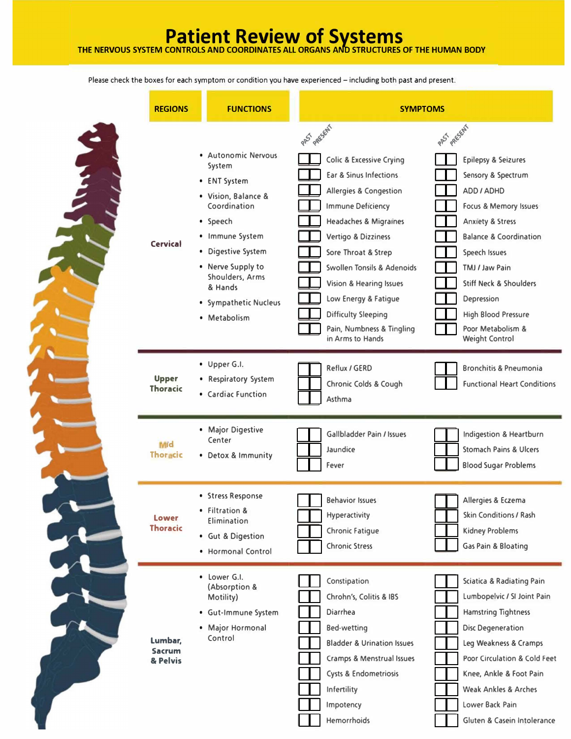## **Patient Review of Systems THE NERVOUS SYSTEM CONTROLS AND COORDINATES ALL ORGANS AND STRUCTURES OF THE HUMAN BODY**

Please check the boxes for each symptom or condition you have experienced - including both past and present.

| <b>REGIONS</b>                       | <b>FUNCTIONS</b>                                                                                                                                                                                                                      | <b>SYMPTOMS</b>                                                                                                                                                                                                                                                                                                                                                                                                      |                                                                                                                                                                                                                                                                                                                                                        |  |
|--------------------------------------|---------------------------------------------------------------------------------------------------------------------------------------------------------------------------------------------------------------------------------------|----------------------------------------------------------------------------------------------------------------------------------------------------------------------------------------------------------------------------------------------------------------------------------------------------------------------------------------------------------------------------------------------------------------------|--------------------------------------------------------------------------------------------------------------------------------------------------------------------------------------------------------------------------------------------------------------------------------------------------------------------------------------------------------|--|
| <b>Cervical</b>                      | · Autonomic Nervous<br>System<br>• ENT System<br>• Vision, Balance &<br>Coordination<br>• Speech<br>· Immune System<br>• Digestive System<br>• Nerve Supply to<br>Shoulders, Arms<br>& Hands<br>· Sympathetic Nucleus<br>• Metabolism | PAS RESENT<br><b>Colic &amp; Excessive Crying</b><br>Ear & Sinus Infections<br><b>Allergies &amp; Congestion</b><br><b>Immune Deficiency</b><br><b>Headaches &amp; Migraines</b><br>Vertigo & Dizziness<br>Sore Throat & Strep<br><b>Swollen Tonsils &amp; Adenoids</b><br><b>Vision &amp; Hearing Issues</b><br>Low Energy & Fatigue<br><b>Difficulty Sleeping</b><br>Pain, Numbness & Tingling<br>in Arms to Hands | PAS AFSENT<br><b>Epilepsy &amp; Seizures</b><br>Sensory & Spectrum<br>ADD / ADHD<br>Focus & Memory Issues<br><b>Anxiety &amp; Stress</b><br><b>Balance &amp; Coordination</b><br>Speech Issues<br>TMJ / Jaw Pain<br><b>Stiff Neck &amp; Shoulders</b><br><b>Depression</b><br><b>High Blood Pressure</b><br>Poor Metabolism &<br><b>Weight Control</b> |  |
| <b>Upper</b><br><b>Thoracic</b>      | • Upper G.I.<br>• Respiratory System<br>• Cardiac Function                                                                                                                                                                            | Reflux / GERD<br>Chronic Colds & Cough<br>Asthma                                                                                                                                                                                                                                                                                                                                                                     | <b>Bronchitis &amp; Pneumonia</b><br><b>Functional Heart Conditions</b>                                                                                                                                                                                                                                                                                |  |
| Mid<br><b>Thoracic</b>               | • Major Digestive<br>Center<br>• Detox & Immunity                                                                                                                                                                                     | <b>Gallbladder Pain / Issues</b><br>Jaundice<br>Fever                                                                                                                                                                                                                                                                                                                                                                | Indigestion & Heartburn<br><b>Stomach Pains &amp; Ulcers</b><br><b>Blood Sugar Problems</b>                                                                                                                                                                                                                                                            |  |
| Lower<br><b>Thoracic</b>             | • Stress Response<br><b>Filtration &amp;</b><br>Elimination<br>· Gut & Digestion<br>• Hormonal Control                                                                                                                                | <b>Behavior Issues</b><br><b>Hyperactivity</b><br><b>Chronic Fatigue</b><br><b>Chronic Stress</b>                                                                                                                                                                                                                                                                                                                    | Allergies & Eczema<br>Skin Conditions / Rash<br><b>Kidney Problems</b><br><b>Gas Pain &amp; Bloating</b>                                                                                                                                                                                                                                               |  |
| Lumbar,<br><b>Sacrum</b><br>& Pelvis | • Lower G.I.<br>(Absorption &<br>Motility)<br>· Gut-Immune System<br>• Major Hormonal<br>Control                                                                                                                                      | Constipation<br>Chrohn's, Colitis & IBS<br><b>Diarrhea</b><br><b>Bed-wetting</b><br><b>Bladder &amp; Urination Issues</b><br><b>Cramps &amp; Menstrual Issues</b><br>Cysts & Endometriosis<br><b>Infertility</b><br>Impotency<br>Hemorrhoids                                                                                                                                                                         | <b>Sciatica &amp; Radiating Pain</b><br>Lumbopelvic / SI Joint Pain<br><b>Hamstring Tightness</b><br><b>Disc Degeneration</b><br>Leg Weakness & Cramps<br>Poor Circulation & Cold Feet<br>Knee, Ankle & Foot Pain<br><b>Weak Ankles &amp; Arches</b><br>Lower Back Pain<br>Gluten & Casein Intolerance                                                 |  |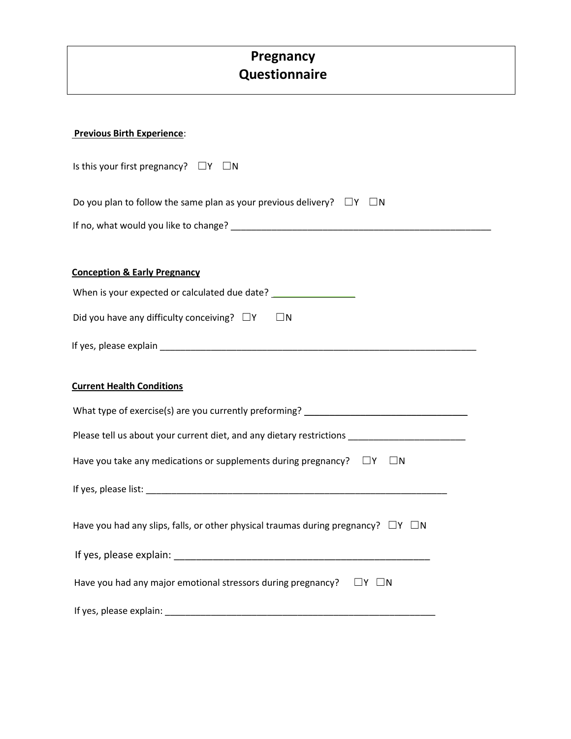## **Pregnancy Questionnaire**

| <b>Previous Birth Experience:</b> |
|-----------------------------------|
|-----------------------------------|

| Is this your first pregnancy? $\square Y \square N$                                                                                                                                                                            |  |  |  |  |  |
|--------------------------------------------------------------------------------------------------------------------------------------------------------------------------------------------------------------------------------|--|--|--|--|--|
| Do you plan to follow the same plan as your previous delivery? $\square Y \square N$                                                                                                                                           |  |  |  |  |  |
|                                                                                                                                                                                                                                |  |  |  |  |  |
|                                                                                                                                                                                                                                |  |  |  |  |  |
| <b>Conception &amp; Early Pregnancy</b>                                                                                                                                                                                        |  |  |  |  |  |
| When is your expected or calculated due date? __________________________________                                                                                                                                               |  |  |  |  |  |
| Did you have any difficulty conceiving? $\Box Y$ $\Box N$                                                                                                                                                                      |  |  |  |  |  |
|                                                                                                                                                                                                                                |  |  |  |  |  |
| <b>Current Health Conditions</b>                                                                                                                                                                                               |  |  |  |  |  |
| What type of exercise(s) are you currently preforming? _________________________                                                                                                                                               |  |  |  |  |  |
| Please tell us about your current diet, and any dietary restrictions ______________________________                                                                                                                            |  |  |  |  |  |
| Have you take any medications or supplements during pregnancy? $\square Y \square N$                                                                                                                                           |  |  |  |  |  |
|                                                                                                                                                                                                                                |  |  |  |  |  |
| Have you had any slips, falls, or other physical traumas during pregnancy? $\square Y \square N$                                                                                                                               |  |  |  |  |  |
| If yes, please explain: The same state of the state of the state of the state of the state of the state of the                                                                                                                 |  |  |  |  |  |
| Have you had any major emotional stressors during pregnancy? $\square Y \square N$                                                                                                                                             |  |  |  |  |  |
| If yes, please explain: Law and the state of the state of the state of the state of the state of the state of the state of the state of the state of the state of the state of the state of the state of the state of the stat |  |  |  |  |  |